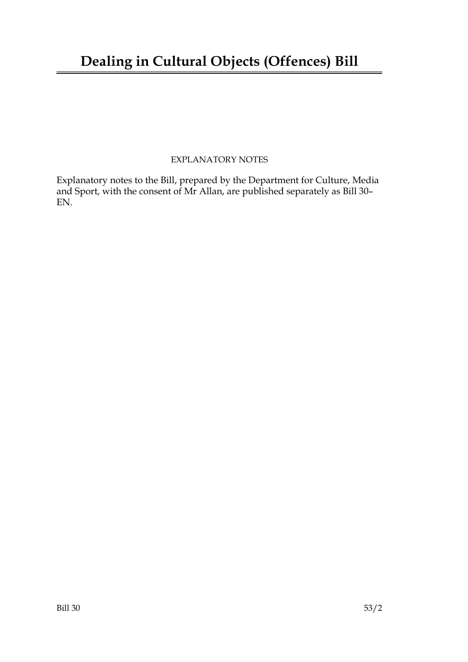### EXPLANATORY NOTES

Explanatory notes to the Bill, prepared by the Department for Culture, Media and Sport, with the consent of Mr Allan, are published separately as Bill 30– EN.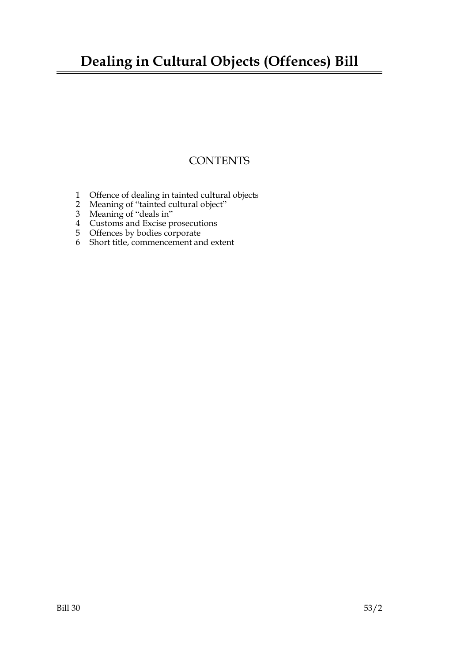## **Dealing in Cultural Objects (Offences) Bill**

### **CONTENTS**

- 1 Offence of dealing in tainted cultural objects
- 2 Meaning of "tainted cultural object"
- 3 Meaning of "deals in"
- 4 Customs and Excise prosecutions
- 5 Offences by bodies corporate
- 6 Short title, commencement and extent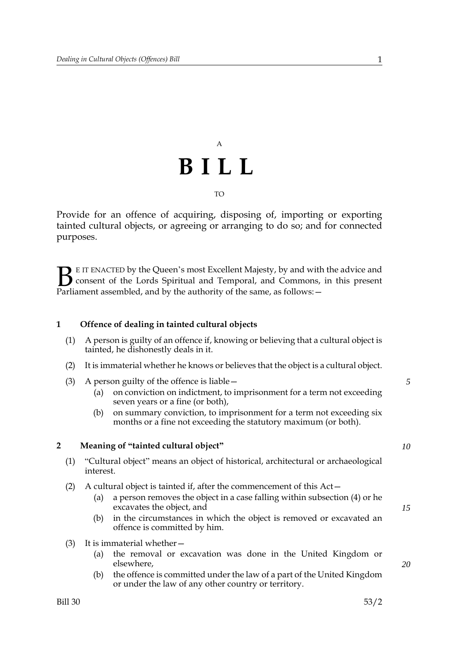## A **BILL** TO

Provide for an offence of acquiring, disposing of, importing or exporting tainted cultural objects, or agreeing or arranging to do so; and for connected purposes.

E IT ENACTED by the Queen's most Excellent Majesty, by and with the advice and consent of the Lords Spiritual and Temporal, and Commons, in this present Parliament assembled, and by the authority of the same, as follows: - $\mathbf{B}_{\text{rel}}$ 

#### **1 Offence of dealing in tainted cultural objects**

- (1) A person is guilty of an offence if, knowing or believing that a cultural object is tainted, he dishonestly deals in it.
- (2) It is immaterial whether he knows or believes that the object is a cultural object.
- (3) A person guilty of the offence is liable—
	- (a) on conviction on indictment, to imprisonment for a term not exceeding seven years or a fine (or both),
	- (b) on summary conviction, to imprisonment for a term not exceeding six months or a fine not exceeding the statutory maximum (or both).

#### **2 Meaning of "tainted cultural object"**

- (1) "Cultural object" means an object of historical, architectural or archaeological interest.
- (2) A cultural object is tainted if, after the commencement of this Act—
	- (a) a person removes the object in a case falling within subsection (4) or he excavates the object, and
	- (b) in the circumstances in which the object is removed or excavated an offence is committed by him.
- (3) It is immaterial whether—
	- (a) the removal or excavation was done in the United Kingdom or elsewhere,
	- (b) the offence is committed under the law of a part of the United Kingdom or under the law of any other country or territory.

*5*

*10*

*20*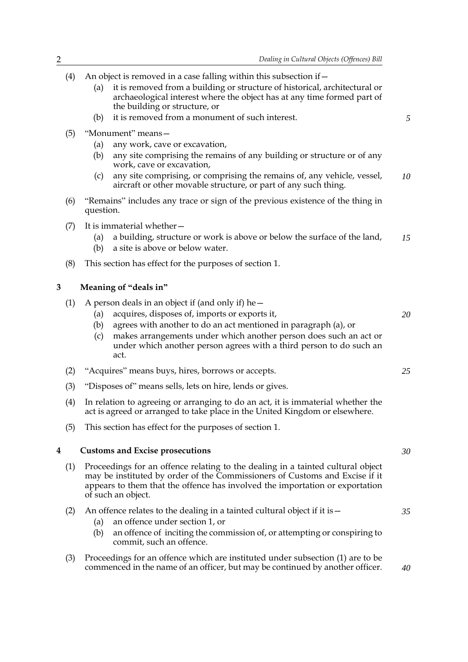- (4) An object is removed in a case falling within this subsection if  $-$ 
	- (a) it is removed from a building or structure of historical, architectural or archaeological interest where the object has at any time formed part of the building or structure, or
	- (b) it is removed from a monument of such interest.
- (5) "Monument" means—
	- (a) any work, cave or excavation,
	- (b) any site comprising the remains of any building or structure or of any work, cave or excavation,
	- (c) any site comprising, or comprising the remains of, any vehicle, vessel, aircraft or other movable structure, or part of any such thing. *10*
- (6) "Remains" includes any trace or sign of the previous existence of the thing in question.
- (7) It is immaterial whether—
	- (a) a building, structure or work is above or below the surface of the land, *15*
	- (b) a site is above or below water.
- (8) This section has effect for the purposes of section 1.

#### **3 Meaning of "deals in"**

- (1) A person deals in an object if (and only if) he  $-$ 
	- (a) acquires, disposes of, imports or exports it,
	- (b) agrees with another to do an act mentioned in paragraph (a), or
	- (c) makes arrangements under which another person does such an act or under which another person agrees with a third person to do such an act.

| (2) | "Acquires" means buys, hires, borrows or accepts. |  |
|-----|---------------------------------------------------|--|
|     |                                                   |  |

- (3) "Disposes of" means sells, lets on hire, lends or gives.
- (4) In relation to agreeing or arranging to do an act, it is immaterial whether the act is agreed or arranged to take place in the United Kingdom or elsewhere.
- (5) This section has effect for the purposes of section 1.

#### **4 Customs and Excise prosecutions**

- (1) Proceedings for an offence relating to the dealing in a tainted cultural object may be instituted by order of the Commissioners of Customs and Excise if it appears to them that the offence has involved the importation or exportation of such an object.
- (2) An offence relates to the dealing in a tainted cultural object if it is—
	- (a) an offence under section 1, or
	- (b) an offence of inciting the commission of, or attempting or conspiring to commit, such an offence.
- (3) Proceedings for an offence which are instituted under subsection (1) are to be commenced in the name of an officer, but may be continued by another officer.

*30*

*35*

*40*

*20*

*25*

*5*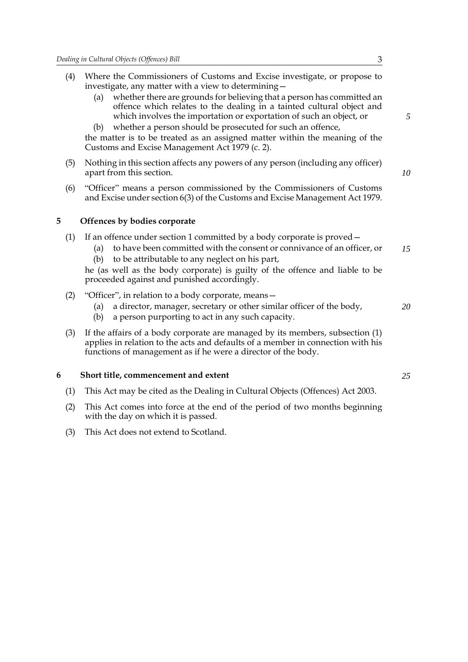- (4) Where the Commissioners of Customs and Excise investigate, or propose to investigate, any matter with a view to determining—
	- (a) whether there are grounds for believing that a person has committed an offence which relates to the dealing in a tainted cultural object and which involves the importation or exportation of such an object, or
	- (b) whether a person should be prosecuted for such an offence,

the matter is to be treated as an assigned matter within the meaning of the Customs and Excise Management Act 1979 (c. 2).

- (5) Nothing in this section affects any powers of any person (including any officer) apart from this section.
- (6) "Officer" means a person commissioned by the Commissioners of Customs and Excise under section 6(3) of the Customs and Excise Management Act 1979.

#### **5 Offences by bodies corporate**

- (1) If an offence under section 1 committed by a body corporate is proved—
	- (a) to have been committed with the consent or connivance of an officer, or *15*
	- (b) to be attributable to any neglect on his part,

he (as well as the body corporate) is guilty of the offence and liable to be proceeded against and punished accordingly.

- (2) "Officer", in relation to a body corporate, means—
	- (a) a director, manager, secretary or other similar officer of the body,
	- (b) a person purporting to act in any such capacity.
- (3) If the affairs of a body corporate are managed by its members, subsection (1) applies in relation to the acts and defaults of a member in connection with his functions of management as if he were a director of the body.

#### **6 Short title, commencement and extent**

- (1) This Act may be cited as the Dealing in Cultural Objects (Offences) Act 2003.
- (2) This Act comes into force at the end of the period of two months beginning with the day on which it is passed.
- (3) This Act does not extend to Scotland.

*5*

*10*

*25*

*20*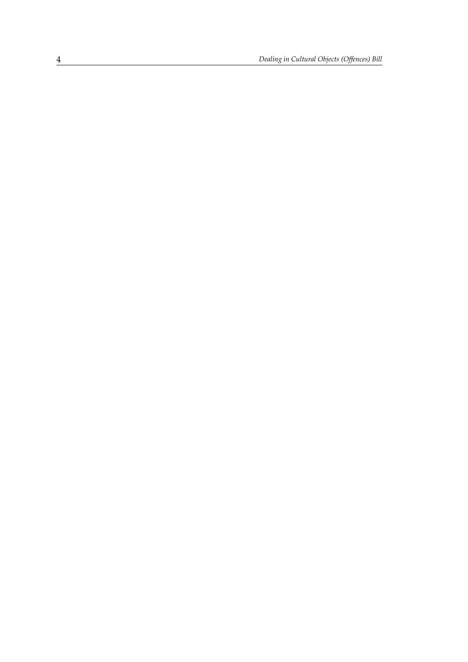*Dealing in Cultural Objects (Offences) Bill*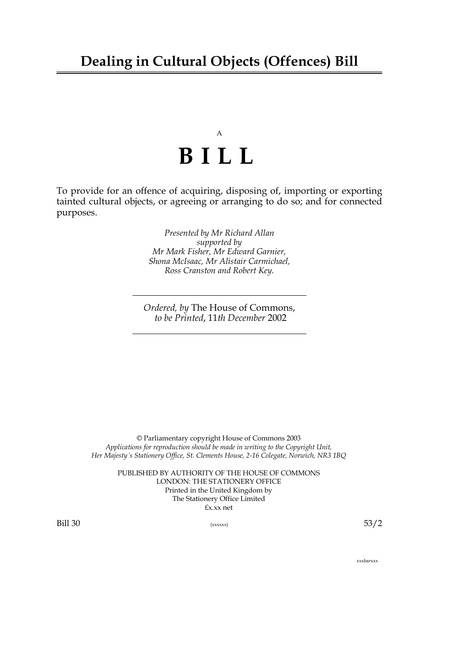# A **BILL**

To provide for an offence of acquiring, disposing of, importing or exporting tainted cultural objects, or agreeing or arranging to do so; and for connected purposes.

> *Presented by Mr Richard Allan supported by Mr Mark Fisher, Mr Edward Garnier, Shona McIsaac, Mr Alistair Carmichael, Ross Cranston and Robert Key.*

*Ordered, by* The House of Commons, *to be Printed*, 11*th December* 2002

© Parliamentary copyright House of Commons 2003 *Applications for reproduction should be made in writing to the Copyright Unit, Her Majesty's Stationery Office, St. Clements House, 2-16 Colegate, Norwich, NR3 1BQ*

PUBLISHED BY AUTHORITY OF THE HOUSE OF COMMONS LONDON: THE STATIONERY OFFICE Printed in the United Kingdom by The Stationery Office Limited £x.xx net

 $\frac{3}{2}$  53/2

xxxbarxxx